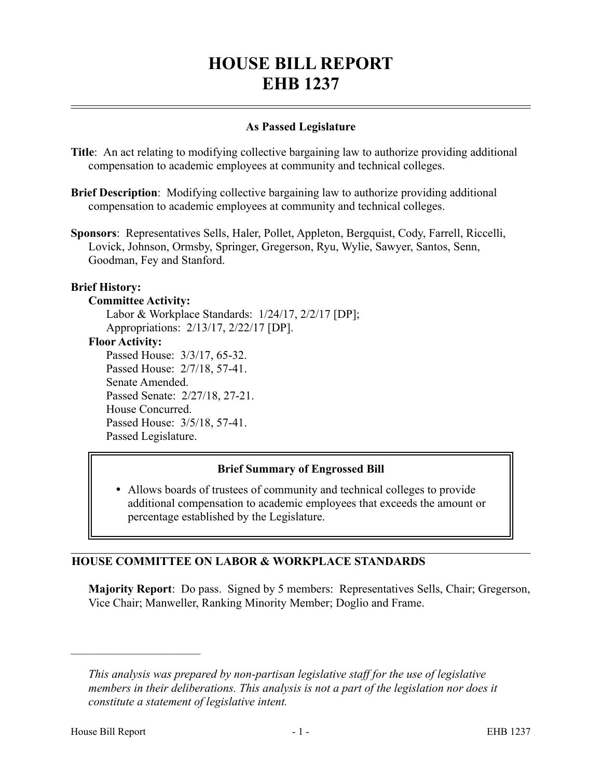# **HOUSE BILL REPORT EHB 1237**

# **As Passed Legislature**

- **Title**: An act relating to modifying collective bargaining law to authorize providing additional compensation to academic employees at community and technical colleges.
- **Brief Description**: Modifying collective bargaining law to authorize providing additional compensation to academic employees at community and technical colleges.
- **Sponsors**: Representatives Sells, Haler, Pollet, Appleton, Bergquist, Cody, Farrell, Riccelli, Lovick, Johnson, Ormsby, Springer, Gregerson, Ryu, Wylie, Sawyer, Santos, Senn, Goodman, Fey and Stanford.

## **Brief History:**

#### **Committee Activity:**

Labor & Workplace Standards: 1/24/17, 2/2/17 [DP]; Appropriations: 2/13/17, 2/22/17 [DP]. **Floor Activity:** Passed House: 3/3/17, 65-32. Passed House: 2/7/18, 57-41. Senate Amended. Passed Senate: 2/27/18, 27-21. House Concurred. Passed House: 3/5/18, 57-41. Passed Legislature.

# **Brief Summary of Engrossed Bill**

 Allows boards of trustees of community and technical colleges to provide additional compensation to academic employees that exceeds the amount or percentage established by the Legislature.

# **HOUSE COMMITTEE ON LABOR & WORKPLACE STANDARDS**

**Majority Report**: Do pass. Signed by 5 members: Representatives Sells, Chair; Gregerson, Vice Chair; Manweller, Ranking Minority Member; Doglio and Frame.

––––––––––––––––––––––

*This analysis was prepared by non-partisan legislative staff for the use of legislative members in their deliberations. This analysis is not a part of the legislation nor does it constitute a statement of legislative intent.*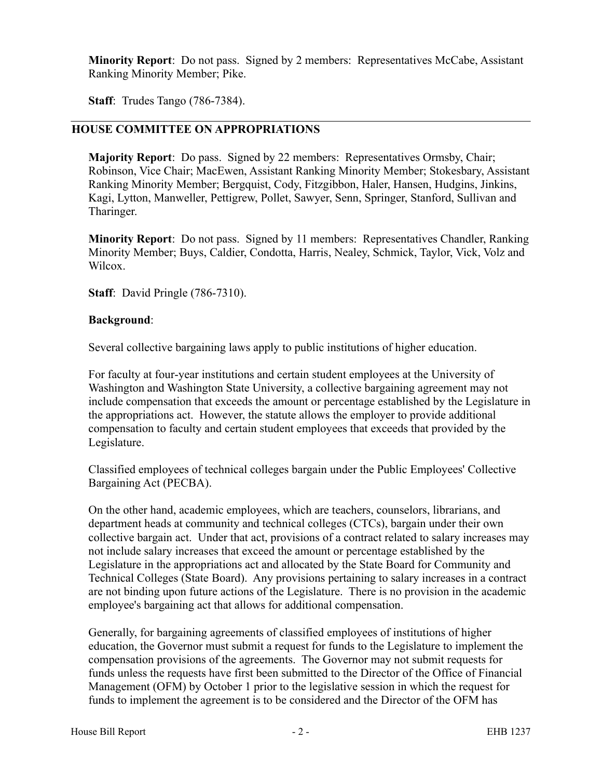**Minority Report**: Do not pass. Signed by 2 members: Representatives McCabe, Assistant Ranking Minority Member; Pike.

**Staff**: Trudes Tango (786-7384).

# **HOUSE COMMITTEE ON APPROPRIATIONS**

**Majority Report**: Do pass. Signed by 22 members: Representatives Ormsby, Chair; Robinson, Vice Chair; MacEwen, Assistant Ranking Minority Member; Stokesbary, Assistant Ranking Minority Member; Bergquist, Cody, Fitzgibbon, Haler, Hansen, Hudgins, Jinkins, Kagi, Lytton, Manweller, Pettigrew, Pollet, Sawyer, Senn, Springer, Stanford, Sullivan and Tharinger.

**Minority Report**: Do not pass. Signed by 11 members: Representatives Chandler, Ranking Minority Member; Buys, Caldier, Condotta, Harris, Nealey, Schmick, Taylor, Vick, Volz and Wilcox.

**Staff**: David Pringle (786-7310).

## **Background**:

Several collective bargaining laws apply to public institutions of higher education.

For faculty at four-year institutions and certain student employees at the University of Washington and Washington State University, a collective bargaining agreement may not include compensation that exceeds the amount or percentage established by the Legislature in the appropriations act. However, the statute allows the employer to provide additional compensation to faculty and certain student employees that exceeds that provided by the Legislature.

Classified employees of technical colleges bargain under the Public Employees' Collective Bargaining Act (PECBA).

On the other hand, academic employees, which are teachers, counselors, librarians, and department heads at community and technical colleges (CTCs), bargain under their own collective bargain act. Under that act, provisions of a contract related to salary increases may not include salary increases that exceed the amount or percentage established by the Legislature in the appropriations act and allocated by the State Board for Community and Technical Colleges (State Board). Any provisions pertaining to salary increases in a contract are not binding upon future actions of the Legislature. There is no provision in the academic employee's bargaining act that allows for additional compensation.

Generally, for bargaining agreements of classified employees of institutions of higher education, the Governor must submit a request for funds to the Legislature to implement the compensation provisions of the agreements. The Governor may not submit requests for funds unless the requests have first been submitted to the Director of the Office of Financial Management (OFM) by October 1 prior to the legislative session in which the request for funds to implement the agreement is to be considered and the Director of the OFM has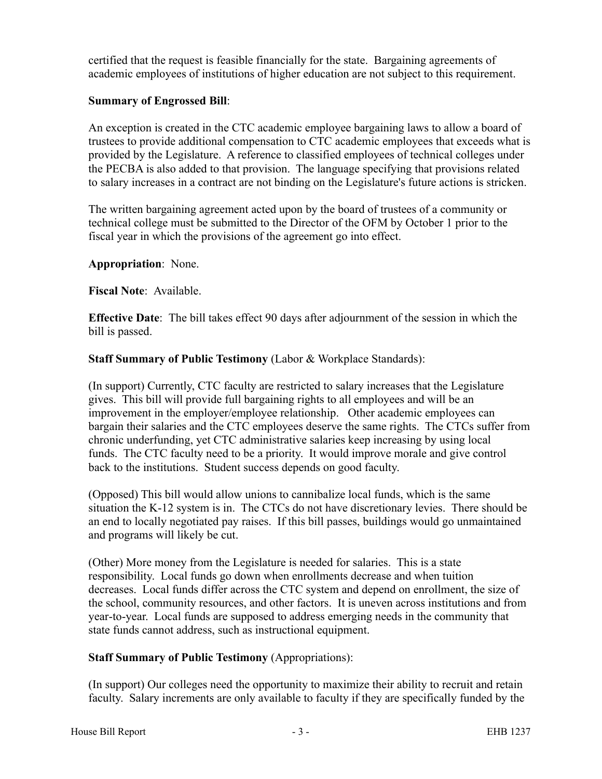certified that the request is feasible financially for the state. Bargaining agreements of academic employees of institutions of higher education are not subject to this requirement.

# **Summary of Engrossed Bill**:

An exception is created in the CTC academic employee bargaining laws to allow a board of trustees to provide additional compensation to CTC academic employees that exceeds what is provided by the Legislature. A reference to classified employees of technical colleges under the PECBA is also added to that provision. The language specifying that provisions related to salary increases in a contract are not binding on the Legislature's future actions is stricken.

The written bargaining agreement acted upon by the board of trustees of a community or technical college must be submitted to the Director of the OFM by October 1 prior to the fiscal year in which the provisions of the agreement go into effect.

## **Appropriation**: None.

**Fiscal Note**: Available.

**Effective Date**: The bill takes effect 90 days after adjournment of the session in which the bill is passed.

**Staff Summary of Public Testimony** (Labor & Workplace Standards):

(In support) Currently, CTC faculty are restricted to salary increases that the Legislature gives. This bill will provide full bargaining rights to all employees and will be an improvement in the employer/employee relationship. Other academic employees can bargain their salaries and the CTC employees deserve the same rights. The CTCs suffer from chronic underfunding, yet CTC administrative salaries keep increasing by using local funds. The CTC faculty need to be a priority. It would improve morale and give control back to the institutions. Student success depends on good faculty.

(Opposed) This bill would allow unions to cannibalize local funds, which is the same situation the K-12 system is in. The CTCs do not have discretionary levies. There should be an end to locally negotiated pay raises. If this bill passes, buildings would go unmaintained and programs will likely be cut.

(Other) More money from the Legislature is needed for salaries. This is a state responsibility. Local funds go down when enrollments decrease and when tuition decreases. Local funds differ across the CTC system and depend on enrollment, the size of the school, community resources, and other factors. It is uneven across institutions and from year-to-year. Local funds are supposed to address emerging needs in the community that state funds cannot address, such as instructional equipment.

# **Staff Summary of Public Testimony** (Appropriations):

(In support) Our colleges need the opportunity to maximize their ability to recruit and retain faculty. Salary increments are only available to faculty if they are specifically funded by the